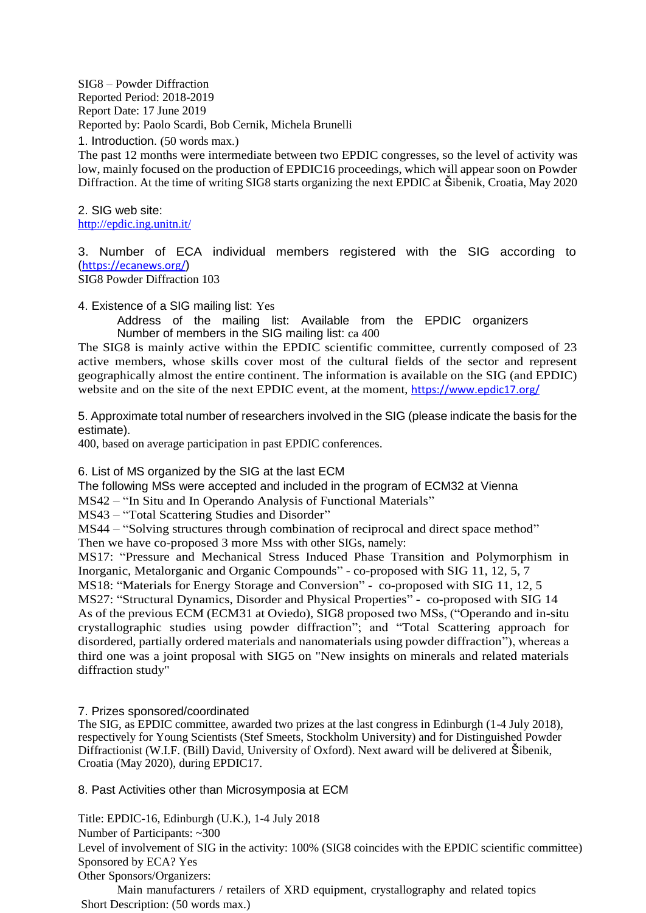SIG8 – Powder Diffraction Reported Period: 2018-2019 Report Date: 17 June 2019 Reported by: Paolo Scardi, Bob Cernik, Michela Brunelli

1. Introduction. (50 words max.)

The past 12 months were intermediate between two EPDIC congresses, so the level of activity was low, mainly focused on the production of EPDIC16 proceedings, which will appear soon on Powder Diffraction. At the time of writing SIG8 starts organizing the next EPDIC at Šibenik, Croatia, May 2020

2. SIG web site: <http://epdic.ing.unitn.it/>

3. Number of ECA individual members registered with the SIG according to (<https://ecanews.org/>)

SIG8 Powder Diffraction 103

4. Existence of a SIG mailing list: Yes

Address of the mailing list: Available from the EPDIC organizers Number of members in the SIG mailing list: ca 400

The SIG8 is mainly active within the EPDIC scientific committee, currently composed of 23 active members, whose skills cover most of the cultural fields of the sector and represent geographically almost the entire continent. The information is available on the SIG (and EPDIC) website and on the site of the next EPDIC event, at the moment, <https://www.epdic17.org/>

5. Approximate total number of researchers involved in the SIG (please indicate the basis for the estimate).

400, based on average participation in past EPDIC conferences.

6. List of MS organized by the SIG at the last ECM

The following MSs were accepted and included in the program of ECM32 at Vienna

MS42 – "In Situ and In Operando Analysis of Functional Materials"

MS43 – "Total Scattering Studies and Disorder"

MS44 – "Solving structures through combination of reciprocal and direct space method" Then we have co-proposed 3 more Mss with other SIGs, namely:

MS17: "Pressure and Mechanical Stress Induced Phase Transition and Polymorphism in Inorganic, Metalorganic and Organic Compounds" - co-proposed with SIG 11, 12, 5, 7

MS18: "Materials for Energy Storage and Conversion" - co-proposed with SIG 11, 12, 5 MS27: "Structural Dynamics, Disorder and Physical Properties" - co-proposed with SIG 14 As of the previous ECM (ECM31 at Oviedo), SIG8 proposed two MSs, ("Operando and in-situ crystallographic studies using powder diffraction"; and "Total Scattering approach for disordered, partially ordered materials and nanomaterials using powder diffraction"), whereas a third one was a joint proposal with SIG5 on "New insights on minerals and related materials diffraction study"

## 7. Prizes sponsored/coordinated

The SIG, as EPDIC committee, awarded two prizes at the last congress in Edinburgh (1-4 July 2018), respectively for Young Scientists (Stef Smeets, Stockholm University) and for Distinguished Powder Diffractionist (W.I.F. (Bill) David, University of Oxford). Next award will be delivered at Šibenik, Croatia (May 2020), during EPDIC17.

8. Past Activities other than Microsymposia at ECM

Title: EPDIC-16, Edinburgh (U.K.), 1-4 July 2018

Number of Participants: ~300

Level of involvement of SIG in the activity: 100% (SIG8 coincides with the EPDIC scientific committee) Sponsored by ECA? Yes

Other Sponsors/Organizers:

Main manufacturers / retailers of XRD equipment, crystallography and related topics Short Description: (50 words max.)